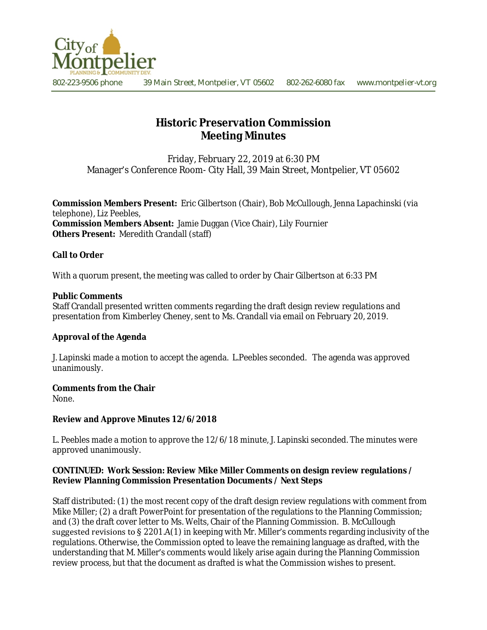

802-223-9506 phone 39 Main Street, Montpelier, VT 05602 802-262-6080 fax www.montpelier-vt.org

# **Historic Preservation Commission Meeting Minutes**

Friday, February 22, 2019 at 6:30 PM Manager's Conference Room- City Hall, 39 Main Street, Montpelier, VT 05602

**Commission Members Present:** Eric Gilbertson (Chair), Bob McCullough, Jenna Lapachinski (via telephone), Liz Peebles, **Commission Members Absent:** Jamie Duggan (Vice Chair), Lily Fournier **Others Present:** Meredith Crandall (staff)

# **Call to Order**

With a quorum present, the meeting was called to order by Chair Gilbertson at 6:33 PM

#### **Public Comments**

Staff Crandall presented written comments regarding the draft design review regulations and presentation from Kimberley Cheney, sent to Ms. Crandall via email on February 20, 2019.

## **Approval of the Agenda**

J. Lapinski made a motion to accept the agenda. L.Peebles seconded. The agenda was approved unanimously.

#### **Comments from the Chair**

None.

#### **Review and Approve Minutes 12/6/2018**

L. Peebles made a motion to approve the 12/6/18 minute, J. Lapinski seconded. The minutes were approved unanimously.

#### **CONTINUED: Work Session: Review Mike Miller Comments on design review regulations / Review Planning Commission Presentation Documents / Next Steps**

Staff distributed: (1) the most recent copy of the draft design review regulations with comment from Mike Miller; (2) a draft PowerPoint for presentation of the regulations to the Planning Commission; and (3) the draft cover letter to Ms. Welts, Chair of the Planning Commission. B. McCullough suggested revisions to  $\S 2201 \text{A}(1)$  in keeping with Mr. Miller's comments regarding inclusivity of the regulations. Otherwise, the Commission opted to leave the remaining language as drafted, with the understanding that M. Miller's comments would likely arise again during the Planning Commission review process, but that the document as drafted is what the Commission wishes to present.